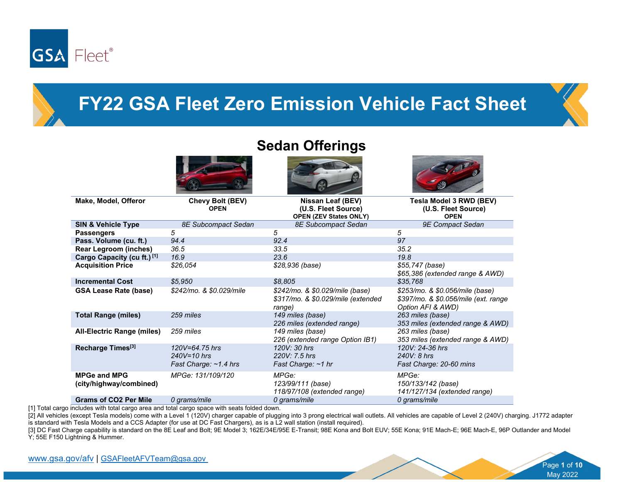

#### **Sedan Offerings**







| Make, Model, Offeror                           | Chevy Bolt (BEV)<br><b>OPEN</b>                          | Nissan Leaf (BEV)<br>(U.S. Fleet Source)<br><b>OPEN (ZEV States ONLY)</b>       | Tesla Model 3 RWD (BEV)<br>(U.S. Fleet Source)<br><b>OPEN</b>                                |
|------------------------------------------------|----------------------------------------------------------|---------------------------------------------------------------------------------|----------------------------------------------------------------------------------------------|
| <b>SIN &amp; Vehicle Type</b>                  | 8E Subcompact Sedan                                      | 8E Subcompact Sedan                                                             | 9E Compact Sedan                                                                             |
| <b>Passengers</b>                              | 5                                                        | 5                                                                               | 5                                                                                            |
| Pass. Volume (cu. ft.)                         | 94.4                                                     | 92.4                                                                            | 97                                                                                           |
| <b>Rear Legroom (inches)</b>                   | 36.5                                                     | 33.5                                                                            | 35.2                                                                                         |
| Cargo Capacity (cu ft.) [1]                    | 16.9                                                     | 23.6                                                                            | 19.8                                                                                         |
| <b>Acquisition Price</b>                       | \$26,054                                                 | \$28,936 (base)                                                                 | \$55,747 (base)<br>\$65,386 (extended range & AWD)                                           |
| <b>Incremental Cost</b>                        | \$5,950                                                  | \$8,805                                                                         | \$35,768                                                                                     |
| <b>GSA Lease Rate (base)</b>                   | \$242/mo. & \$0.029/mile                                 | \$242/mo. & \$0.029/mile (base)<br>\$317/mo. & \$0.029/mile (extended<br>range) | \$253/mo. & \$0.056/mile (base)<br>\$397/mo. & \$0.056/mile (ext. range<br>Option AFI & AWD) |
| <b>Total Range (miles)</b>                     | 259 miles                                                | 149 miles (base)<br>226 miles (extended range)                                  | 263 miles (base)<br>353 miles (extended range & AWD)                                         |
| <b>All-Electric Range (miles)</b>              | 259 miles                                                | 149 miles (base)<br>226 (extended range Option IB1)                             | 263 miles (base)<br>353 miles (extended range & AWD)                                         |
| Recharge Times <sup>[3]</sup>                  | 120V=64.75 hrs<br>240V=10 hrs<br>Fast Charge: $~1.4$ hrs | 120V: 30 hrs<br>220V: 7.5 hrs<br>Fast Charge: $\sim$ 1 hr                       | 120V: 24-36 hrs<br>240V: 8 hrs<br>Fast Charge: 20-60 mins                                    |
| <b>MPGe and MPG</b><br>(city/highway/combined) | MPGe: 131/109/120                                        | MPGe:<br>123/99/111 (base)<br>118/97/108 (extended range)                       | MPGe:<br>150/133/142 (base)<br>141/127/134 (extended range)                                  |
| <b>Grams of CO2 Per Mile</b>                   | 0 grams/mile                                             | 0 grams/mile                                                                    | 0 grams/mile                                                                                 |

[1] Total cargo includes with total cargo area and total cargo space with seats folded down.

[2] All vehicles (except Tesla models) come with a Level 1 (120V) charger capable of plugging into 3 prong electrical wall outlets. All vehicles are capable of Level 2 (240V) charging. J1772 adapter is standard with Tesla Models and a CCS Adapter (for use at DC Fast Chargers), as is a L2 wall station (install required).

[3] DC Fast Charge capability is standard on the 8E Leaf and Bolt; 9E Model 3; 162E/34E/95E E-Transit; 98E Kona and Bolt EUV; 55E Kona; 91E Mach-E; 96E Mach-E, 96P Outlander and Model Y; 55E F150 Lightning & Hummer.

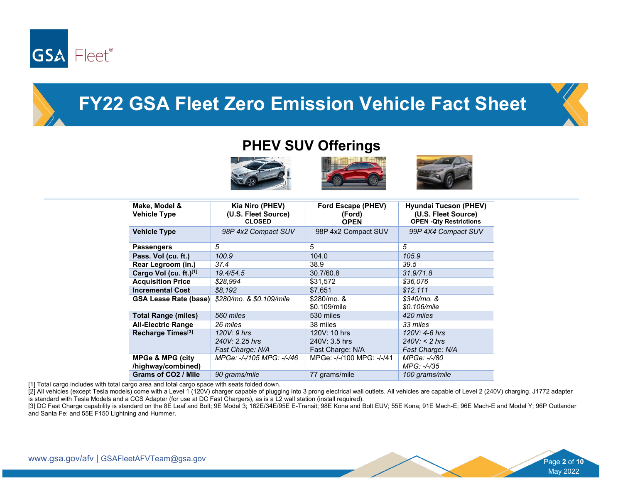

### **PHEV SUV Offerings**





| Make, Model &<br><b>Vehicle Type</b>              | Kia Niro (PHEV)<br>(U.S. Fleet Source)<br><b>CLOSED</b> | Ford Escape (PHEV)<br>(Ford)<br><b>OPEN</b>       | <b>Hyundai Tucson (PHEV)</b><br>(U.S. Fleet Source)<br><b>OPEN - Qty Restrictions</b> |
|---------------------------------------------------|---------------------------------------------------------|---------------------------------------------------|---------------------------------------------------------------------------------------|
| <b>Vehicle Type</b>                               | 98P 4x2 Compact SUV                                     | 98P 4x2 Compact SUV                               | 99P 4X4 Compact SUV                                                                   |
| <b>Passengers</b>                                 | 5                                                       | 5                                                 | 5                                                                                     |
| Pass. Vol (cu. ft.)                               | 100.9                                                   | 104.0                                             | 105.9                                                                                 |
| Rear Legroom (in.)                                | 37.4                                                    | 38.9                                              | 39.5                                                                                  |
| Cargo Vol (cu. ft.)[1]                            | 19.4/54.5                                               | 30.7/60.8                                         | 31.9/71.8                                                                             |
| <b>Acquisition Price</b>                          | \$28,994                                                | \$31,572                                          | \$36,076                                                                              |
| <b>Incremental Cost</b>                           | \$8,192                                                 | \$7,651                                           | \$12,111                                                                              |
| <b>GSA Lease Rate (base)</b>                      | \$280/mo. & \$0.109/mile                                | $$280/mo.$ &<br>\$0.109/mile                      | $$340/mo$ . &<br>\$0.106/mile                                                         |
| <b>Total Range (miles)</b>                        | 560 miles                                               | 530 miles                                         | 420 miles                                                                             |
| <b>All-Electric Range</b>                         | 26 miles                                                | 38 miles                                          | 33 miles                                                                              |
| Recharge Times <sup>[3]</sup>                     | 120V: 9 hrs<br>240V: 2.25 hrs<br>Fast Charge: N/A       | 120V: 10 hrs<br>240V: 3.5 hrs<br>Fast Charge: N/A | 120V: 4-6 hrs<br>240V: < 2 hrs<br>Fast Charge: N/A                                    |
| <b>MPGe &amp; MPG (city</b><br>/highway/combined) | MPGe: -/-/105 MPG: -/-/46                               | MPGe: -/-/100 MPG: -/-/41                         | MPGe: -/-/80<br>MPG: -/-/35                                                           |
| Grams of CO2 / Mile                               | 90 grams/mile                                           | 77 grams/mile                                     | 100 grams/mile                                                                        |

[1] Total cargo includes with total cargo area and total cargo space with seats folded down.

[2] All vehicles (except Tesla models) come with a Level 1 (120V) charger capable of plugging into 3 prong electrical wall outlets. All vehicles are capable of Level 2 (240V) charging. J1772 adapter is standard with Tesla Models and a CCS Adapter (for use at DC Fast Chargers), as is a L2 wall station (install required).

[3] DC Fast Charge capability is standard on the 8E Leaf and Bolt; 9E Model 3; 162E/34E/95E E-Transit; 98E Kona and Bolt EUV; 55E Kona; 91E Mach-E; 96E Mach-E and Model Y; 96P Outlander and Santa Fe; and 55E F150 Lightning and Hummer.

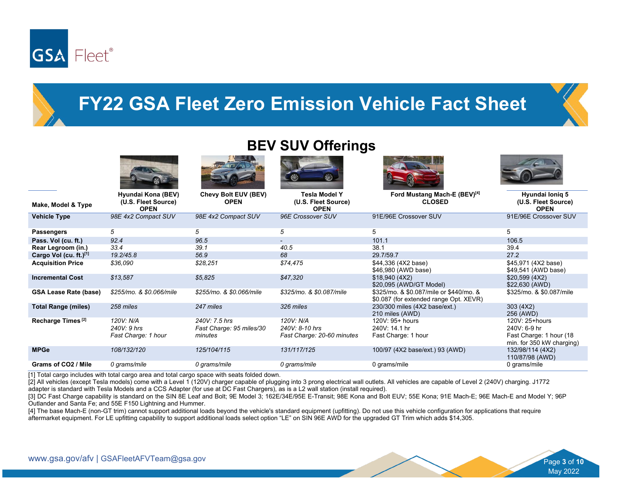

### **BEV SUV Offerings**









| Make, Model & Type            | Hyundai Kona (BEV)<br>(U.S. Fleet Source)<br><b>OPEN</b> | Chevy Bolt EUV (BEV)<br><b>OPEN</b>                  | <b>Tesla Model Y</b><br>(U.S. Fleet Source)<br><b>OPEN</b> | Ford Mustang Mach-E (BEV)[4]<br><b>CLOSED</b>                                     | Hyundai lonig 5<br>(U.S. Fleet Source)<br><b>OPEN</b>                                  |
|-------------------------------|----------------------------------------------------------|------------------------------------------------------|------------------------------------------------------------|-----------------------------------------------------------------------------------|----------------------------------------------------------------------------------------|
| <b>Vehicle Type</b>           | 98E 4x2 Compact SUV                                      | 98E 4x2 Compact SUV                                  | 96E Crossover SUV                                          | 91E/96E Crossover SUV                                                             | 91E/96E Crossover SUV                                                                  |
| <b>Passengers</b>             | 5                                                        | 5                                                    | 5                                                          | 5                                                                                 | 5                                                                                      |
| Pass. Vol (cu. ft.)           | 92.4                                                     | 96.5                                                 | $\overline{\phantom{0}}$                                   | 101.1                                                                             | 106.5                                                                                  |
| Rear Legroom (in.)            | 33.4                                                     | 39.1                                                 | 40.5                                                       | 38.1                                                                              | 39.4                                                                                   |
| Cargo Vol (cu. ft.) $[1]$     | 19.2/45.8                                                | 56.9                                                 | 68                                                         | 29.7/59.7                                                                         | 27.2                                                                                   |
| <b>Acquisition Price</b>      | \$36,090                                                 | \$28,251                                             | \$74,475                                                   | \$44,336 (4X2 base)<br>\$46,980 (AWD base)                                        | \$45,971 (4X2 base)<br>\$49,541 (AWD base)                                             |
| <b>Incremental Cost</b>       | \$13,587                                                 | \$5,825                                              | \$47,320                                                   | \$18,940(4X2)<br>\$20,095 (AWD/GT Model)                                          | \$20,599(4X2)<br>\$22,630 (AWD)                                                        |
| <b>GSA Lease Rate (base)</b>  | \$255/mo. & \$0.066/mile                                 | \$255/mo. & \$0.066/mile                             | \$325/mo. & \$0.087/mile                                   | \$325/mo. & \$0.087/mile or \$440/mo. &<br>\$0.087 (for extended range Opt. XEVR) | \$325/mo. & \$0.087/mile                                                               |
| <b>Total Range (miles)</b>    | 258 miles                                                | 247 miles                                            | 326 miles                                                  | 230/300 miles (4X2 base/ext.)<br>210 miles (AWD)                                  | 303(4X2)<br>256 (AWD)                                                                  |
| Recharge Times <sup>[2]</sup> | 120V: N/A<br>240V: 9 hrs<br>Fast Charge: 1 hour          | 240V: 7.5 hrs<br>Fast Charge: 95 miles/30<br>minutes | 120V: N/A<br>240V: 8-10 hrs<br>Fast Charge: 20-60 minutes  | 120V: 95+ hours<br>240V: 14.1 hr<br>Fast Charge: 1 hour                           | 120V: 25+hours<br>240V: 6-9 hr<br>Fast Charge: 1 hour (18<br>min. for 350 kW charging) |
| <b>MPGe</b>                   | 108/132/120                                              | 125/104/115                                          | 131/117/125                                                | 100/97 (4X2 base/ext.) 93 (AWD)                                                   | 132/98/114 (4X2)<br>110/87/98 (AWD)                                                    |
| Grams of CO2 / Mile           | 0 grams/mile                                             | 0 grams/mile                                         | 0 grams/mile                                               | 0 grams/mile                                                                      | 0 grams/mile                                                                           |

[1] Total cargo includes with total cargo area and total cargo space with seats folded down.

[2] All vehicles (except Tesla models) come with a Level 1 (120V) charger capable of plugging into 3 prong electrical wall outlets. All vehicles are capable of Level 2 (240V) charging. J1772 adapter is standard with Tesla Models and a CCS Adapter (for use at DC Fast Chargers), as is a L2 wall station (install required).

[3] DC Fast Charge capability is standard on the SIN 8E Leaf and Bolt; 9E Model 3; 162E/34E/95E E-Transit; 98E Kona and Bolt EUV; 55E Kona; 91E Mach-E; 96E Mach-E and Model Y; 96P Outlander and Santa Fe; and 55E F150 Lightning and Hummer.

[4] The base Mach-E (non-GT trim) cannot support additional loads beyond the vehicle's standard equipment (upfitting). Do not use this vehicle configuration for applications that require aftermarket equipment. For LE upfitting capability to support additional loads select option "LE" on SIN 96E AWD for the upgraded GT Trim which adds \$14,305.

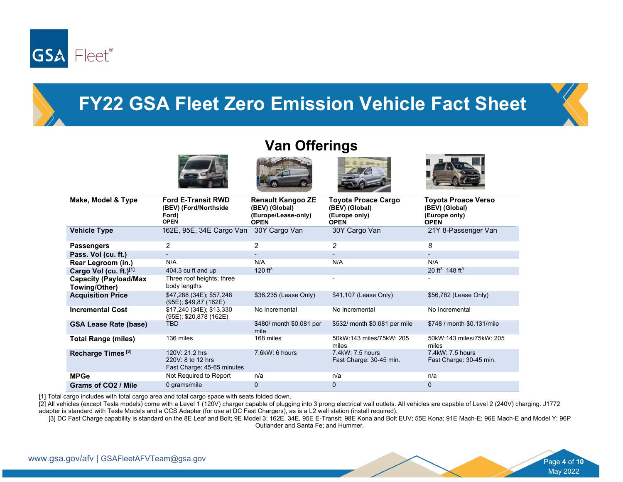









| Make, Model & Type                            | <b>Ford E-Transit RWD</b><br>(BEV) (Ford/Northside<br>Ford)<br><b>OPEN</b> | <b>Renault Kangoo ZE</b><br>(BEV) (Global)<br>(Europe/Lease-only)<br><b>OPEN</b> | <b>Toyota Proace Cargo</b><br>(BEV) (Global)<br>(Europe only)<br><b>OPEN</b> | <b>Toyota Proace Verso</b><br>(BEV) (Global)<br>(Europe only)<br><b>OPEN</b> |
|-----------------------------------------------|----------------------------------------------------------------------------|----------------------------------------------------------------------------------|------------------------------------------------------------------------------|------------------------------------------------------------------------------|
| <b>Vehicle Type</b>                           | 162E, 95E, 34E Cargo Van                                                   | 30Y Cargo Van                                                                    | 30Y Cargo Van                                                                | 21Y 8-Passenger Van                                                          |
| <b>Passengers</b>                             | 2                                                                          | 2                                                                                | 2                                                                            | 8                                                                            |
| Pass. Vol (cu. ft.)                           |                                                                            |                                                                                  |                                                                              |                                                                              |
| Rear Legroom (in.)                            | N/A                                                                        | N/A                                                                              | N/A                                                                          | N/A                                                                          |
| Cargo Vol (cu. ft.)[1]                        | 404.3 cu ft and up                                                         | 120 $ft^3$                                                                       |                                                                              | 20 ft <sup>3</sup> - 148 ft <sup>3</sup>                                     |
| <b>Capacity (Payload/Max</b><br>Towing/Other) | Three roof heights; three<br>body lengths                                  |                                                                                  | -                                                                            |                                                                              |
| <b>Acquisition Price</b>                      | \$47,288 (34E); \$57,248<br>(95E); \$49,87 (162E)                          | \$36,235 (Lease Only)                                                            | \$41,107 (Lease Only)                                                        | \$56,782 (Lease Only)                                                        |
| <b>Incremental Cost</b>                       | \$17,240 (34E); \$13,330<br>(95E); \$20,878 (162E)                         | No Incremental                                                                   | No Incremental                                                               | No Incremental                                                               |
| <b>GSA Lease Rate (base)</b>                  | TBD                                                                        | \$480/ month \$0.081 per<br>mile                                                 | \$532/ month \$0.081 per mile                                                | \$748 / month \$0.131/mile                                                   |
| <b>Total Range (miles)</b>                    | 136 miles                                                                  | 168 miles                                                                        | 50kW:143 miles/75kW: 205<br>miles                                            | 50kW:143 miles/75kW: 205<br>miles                                            |
| Recharge Times <sup>[2]</sup>                 | 120V: 21.2 hrs<br>220V: 8 to 12 hrs<br>Fast Charge: 45-65 minutes          | 7.6kW: 6 hours                                                                   | 7.4kW: 7.5 hours<br>Fast Charge: 30-45 min.                                  | 7.4kW: 7.5 hours<br>Fast Charge: 30-45 min.                                  |
| <b>MPGe</b>                                   | Not Required to Report                                                     | n/a                                                                              | n/a                                                                          | n/a                                                                          |
| Grams of CO2 / Mile                           | 0 grams/mile                                                               | $\mathbf{0}$                                                                     | 0                                                                            | $\mathbf 0$                                                                  |

[1] Total cargo includes with total cargo area and total cargo space with seats folded down.

[2] All vehicles (except Tesla models) come with a Level 1 (120V) charger capable of plugging into 3 prong electrical wall outlets. All vehicles are capable of Level 2 (240V) charging. J1772 adapter is standard with Tesla Models and a CCS Adapter (for use at DC Fast Chargers), as is a L2 wall station (install required).

[3] DC Fast Charge capability is standard on the 8E Leaf and Bolt; 9E Model 3; 162E, 34E, 95E E-Transit; 98E Kona and Bolt EUV; 55E Kona; 91E Mach-E; 96E Mach-E and Model Y; 96P Outlander and Santa Fe; and Hummer.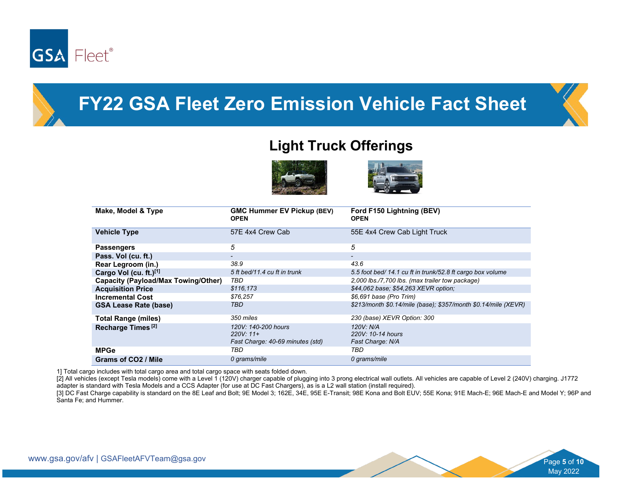

## **Light Truck Offerings**





| Make, Model & Type                  | <b>GMC Hummer EV Pickup (BEV)</b><br><b>OPEN</b>                      | Ford F150 Lightning (BEV)<br><b>OPEN</b>                       |
|-------------------------------------|-----------------------------------------------------------------------|----------------------------------------------------------------|
| <b>Vehicle Type</b>                 | 57E 4x4 Crew Cab                                                      | 55E 4x4 Crew Cab Light Truck                                   |
| <b>Passengers</b>                   | 5                                                                     | 5                                                              |
| Pass. Vol (cu. ft.)                 |                                                                       | $\overline{\phantom{a}}$                                       |
| Rear Legroom (in.)                  | 38.9                                                                  | 43.6                                                           |
| Cargo Vol (cu. ft.) $[1]$           | 5 ft bed/11.4 cu ft in trunk                                          | 5.5 foot bed/ 14.1 cu ft in trunk/52.8 ft cargo box volume     |
| Capacity (Payload/Max Towing/Other) | TBD                                                                   | 2,000 lbs./7,700 lbs. (max trailer tow package)                |
| <b>Acquisition Price</b>            | \$116, 173                                                            | \$44,062 base: \$54,263 XEVR option:                           |
| <b>Incremental Cost</b>             | \$76,257                                                              | \$6,691 base (Pro Trim)                                        |
| <b>GSA Lease Rate (base)</b>        | <b>TBD</b>                                                            | \$213/month \$0.14/mile (base); \$357/month \$0.14/mile (XEVR) |
| <b>Total Range (miles)</b>          | 350 miles                                                             | 230 (base) XEVR Option: 300                                    |
| Recharge Times <sup>[2]</sup>       | 120V: 140-200 hours<br>$220V:11+$<br>Fast Charge: 40-69 minutes (std) | 120V: N/A<br>$220V: 10-14$ hours<br>Fast Charge: N/A           |
| <b>MPGe</b>                         | TBD                                                                   | TBD                                                            |
| Grams of CO2 / Mile                 | 0 grams/mile                                                          | 0 grams/mile                                                   |

1] Total cargo includes with total cargo area and total cargo space with seats folded down.

[2] All vehicles (except Tesla models) come with a Level 1 (120V) charger capable of plugging into 3 prong electrical wall outlets. All vehicles are capable of Level 2 (240V) charging. J1772 adapter is standard with Tesla Models and a CCS Adapter (for use at DC Fast Chargers), as is a L2 wall station (install required).

[3] DC Fast Charge capability is standard on the 8E Leaf and Bolt; 9E Model 3; 162E, 34E, 95E E-Transit; 98E Kona and Bolt EUV; 55E Kona; 91E Mach-E; 96E Mach-E and Model Y; 96P and Santa Fe; and Hummer.

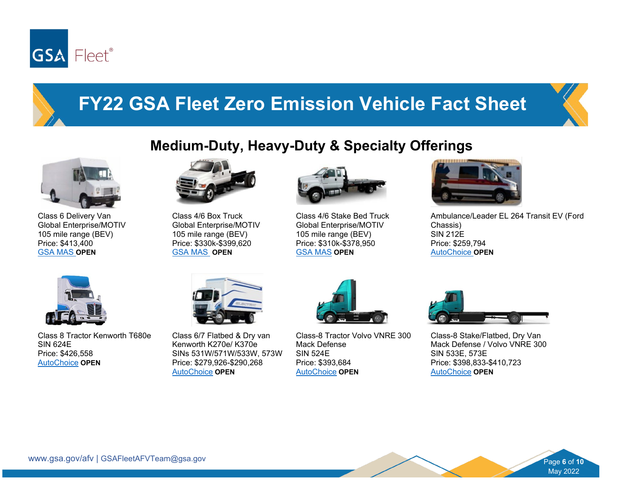





**GSA Fleet®** 

Class 6 Delivery Van Global Enterprise/MOTIV 105 mile range (BEV) Price: \$413,400 [GSA MAS](https://www.gsaadvantage.gov/advantage/ws/catalog/product_detail?gsin=11000061975925) **OPEN**



Class 4/6 Box Truck Global Enterprise/MOTIV 105 mile range (BEV) Price: \$330k-\$399,620 [GSA MAS](https://www.gsaadvantage.gov/advantage/ws/catalog/product_detail?gsin=11000061975924) **OPEN**



Class 4/6 Stake Bed Truck Global Enterprise/MOTIV 105 mile range (BEV) Price: \$310k-\$378,950 [GSA MAS](https://www.gsaadvantage.gov/advantage/ws/catalog/product_detail?gsin=11000061975928) **OPEN**



Ambulance/Leader EL 264 Transit EV (Ford Chassis) SIN 212E Price: \$259,794 [AutoChoice](https://autochoice.fas.gsa.gov/AutoChoice/Home) **OPEN**



 Class 8 Tractor Kenworth T680e SIN 624E Price: \$426,558 [AutoChoice](https://autochoice.fas.gsa.gov/AutoChoice/Home) **OPEN**



Class 6/7 Flatbed & Dry van Kenworth K270e/ K370e SINs 531W/571W/533W, 573W Price: \$279,926-\$290,268 [AutoChoice](https://autochoice.fas.gsa.gov/AutoChoice/Home) **OPEN**



Class-8 Tractor Volvo VNRE 300 Mack Defense SIN 524E Price: \$393,684 [AutoChoice](https://autochoice.fas.gsa.gov/AutoChoice/Home) **OPEN**



Class-8 Stake/Flatbed, Dry Van Mack Defense / Volvo VNRE 300 SIN 533E, 573E Price: \$398,833-\$410,723 [AutoChoice](https://autochoice.fas.gsa.gov/AutoChoice/Home) **OPEN**

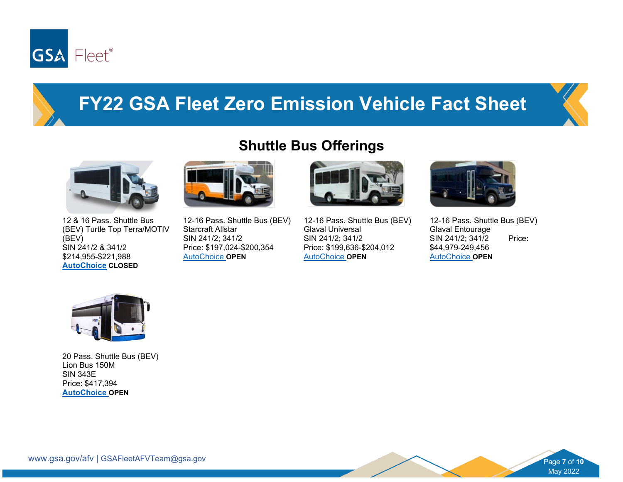



12 & 16 Pass. Shuttle Bus (BEV) Turtle Top Terra/MOTIV (BEV) SIN 241/2 & 341/2 \$214,955-\$221,988 **[AutoChoice](https://autochoice.fas.gsa.gov/AutoChoice/Home) CLOSED** 

### **Shuttle Bus Offerings**



12-16 Pass. Shuttle Bus (BEV) Starcraft Allstar SIN 241/2; 341/2 Price: \$197,024-\$200,354 [AutoChoice](https://autochoice.fas.gsa.gov/AutoChoice/Home) **OPEN**



12-16 Pass. Shuttle Bus (BEV) Glaval Universal SIN 241/2; 341/2 Price: \$199,636-\$204,012 [AutoChoice](https://autochoice.fas.gsa.gov/AutoChoice/Home) **OPEN**



12-16 Pass. Shuttle Bus (BEV) Glaval Entourage SIN 241/2; 341/2 Price: \$44,979-249,456 [AutoChoice](https://autochoice.fas.gsa.gov/AutoChoice/Home) **OPEN**



20 Pass. Shuttle Bus (BEV) Lion Bus 150M SIN 343E Price: \$417,394 **[AutoChoice](https://autochoice.fas.gsa.gov/AutoChoice/Home) OPEN**

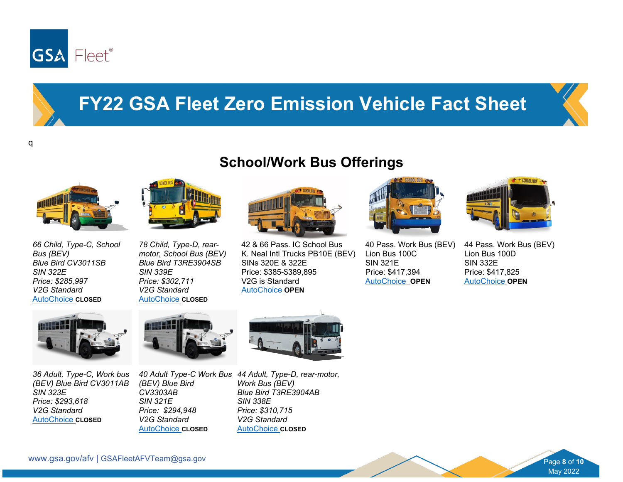

**School/Work Bus Offerings**



*66 Child, Type-C, School Bus (BEV) Blue Bird CV3011SB SIN 322E Price: \$285,997 V2G Standard* [AutoChoice](https://autochoice.fas.gsa.gov/AutoChoice/Home) **CLOSED**



*78 Child, Type-D, rearmotor, School Bus (BEV) Blue Bird T3RE3904SB SIN 339E Price: \$302,711 V2G Standard* [AutoChoice](https://autochoice.fas.gsa.gov/AutoChoice/Home) **CLOSED**



42 & 66 Pass. IC School Bus K. Neal Intl Trucks PB10E (BEV) SINs 320E & 322E Price: \$385-\$389,895 V2G is Standard [AutoChoice](https://autochoice.fas.gsa.gov/AutoChoice/Home) **OPEN**



40 Pass. Work Bus (BEV) Lion Bus 100C SIN 321E Price: \$417,394 [AutoChoice](https://autochoice.fas.gsa.gov/AutoChoice/Home) **OPEN**



44 Pass. Work Bus (BEV) Lion Bus 100D SIN 332E Price: \$417,825 [AutoChoice](https://autochoice.fas.gsa.gov/AutoChoice/Home) **OPEN**



*36 Adult, Type-C, Work bus (BEV) Blue Bird CV3011AB SIN 323E Price: \$293,618 V2G Standard* [AutoChoice](https://autochoice.fas.gsa.gov/AutoChoice/Home) **CLOSED**



*(BEV) Blue Bird CV3303AB SIN 321E Price: \$294,948 V2G Standard* [AutoChoice](https://autochoice.fas.gsa.gov/AutoChoice/Home) **CLOSED**

*40 Adult Type-C Work Bus 44 Adult, Type-D, rear-motor, Work Bus (BEV) Blue Bird T3RE3904AB SIN 338E Price: \$310,715 V2G Standard* [AutoChoice](https://autochoice.fas.gsa.gov/AutoChoice/Home) **CLOSED**

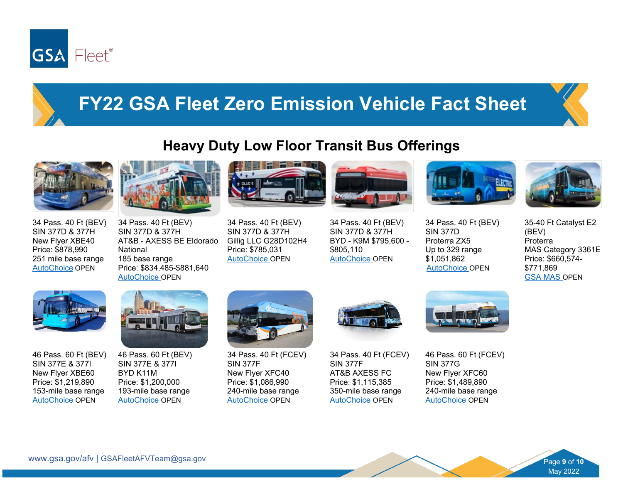





34 Pass. 40 Ft (BEV) SIN 377D & 377H New Flyer XBE40 Price: \$878,990 251 mile base range [AutoChoice](https://autochoice.fas.gsa.gov/AutoChoice/Home) OPEN



34 Pass. 40 Ft (BEV) SIN 377D & 377H AT&B - AXESS BE Eldorado National 185 base range Price: \$834,485-\$881,640 [AutoChoice](https://autochoice.fas.gsa.gov/AutoChoice/Home) OPEN



34 Pass. 40 Ft (BEV) SIN 377D & 377H Gillig LLC G28D102H4 Price: \$785,031 [AutoChoice OPEN](https://autochoice.fas.gsa.gov/AutoChoice/Home) 



34 Pass. 40 Ft (BEV) SIN 377D & 377H BYD - K9M \$795,600 - \$805,110 [AutoChoice](https://autochoice.fas.gsa.gov/AutoChoice/Home) OPEN



34 Pass. 40 Ft (BEV) SIN 377D Proterra ZX5 Up to 329 range \$1,051,862 [AutoChoice](https://autochoice.fas.gsa.gov/AutoChoice/Home) OPEN



35-40 Ft Catalyst E2 (BEV) Proterra MAS Category 3361E Price: \$660,574- \$771,869 [GSA MAS](https://www.gsaadvantage.gov/advantage/ws/main/start_page?store=ADVANTAGE) OPEN



46 Pass. 60 Ft (BEV) SIN 377E & 377I New Flyer XBE60 Price: \$1,219,890 153-mile base range [AutoChoice](https://autochoice.fas.gsa.gov/AutoChoice/Home) OPEN



46 Pass. 60 Ft (BEV) SIN 377E & 377I BYD K11M Price: \$1,200,000 193-mile base range [AutoChoice](https://autochoice.fas.gsa.gov/AutoChoice/Home) OPEN



34 Pass. 40 Ft (FCEV) SIN 377F New Flyer XFC40 Price: \$1,086,990 240-mile base range [AutoChoice](https://autochoice.fas.gsa.gov/AutoChoice/Home) OPEN



34 Pass. 40 Ft (FCEV) SIN 377F AT&B AXESS FC Price: \$1,115,385 350-mile base range [AutoChoice](https://autochoice.fas.gsa.gov/AutoChoice/Home) OPEN



46 Pass. 60 Ft (FCEV) SIN 377G New Flyer XFC60 Price: \$1,489,890 240-mile base range [AutoChoice](https://autochoice.fas.gsa.gov/AutoChoice/Home) OPEN